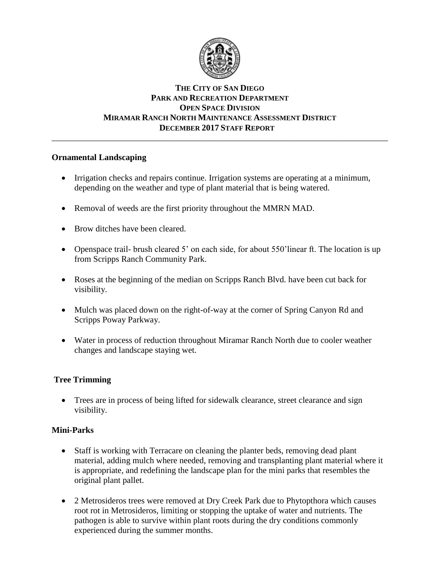

# **THE CITY OF SAN DIEGO PARK AND RECREATION DEPARTMENT OPEN SPACE DIVISION MIRAMAR RANCH NORTH MAINTENANCE ASSESSMENT DISTRICT DECEMBER 2017 STAFF REPORT**

\_\_\_\_\_\_\_\_\_\_\_\_\_\_\_\_\_\_\_\_\_\_\_\_\_\_\_\_\_\_\_\_\_\_\_\_\_\_\_\_\_\_\_\_\_\_\_\_\_\_\_\_\_\_\_\_\_\_\_\_\_\_\_\_\_\_\_\_\_\_\_\_\_\_\_\_\_\_

#### **Ornamental Landscaping**

- Irrigation checks and repairs continue. Irrigation systems are operating at a minimum, depending on the weather and type of plant material that is being watered.
- Removal of weeds are the first priority throughout the MMRN MAD.
- Brow ditches have been cleared.
- Openspace trail- brush cleared 5' on each side, for about 550'linear ft. The location is up from Scripps Ranch Community Park.
- Roses at the beginning of the median on Scripps Ranch Blvd. have been cut back for visibility.
- Mulch was placed down on the right-of-way at the corner of Spring Canyon Rd and Scripps Poway Parkway.
- Water in process of reduction throughout Miramar Ranch North due to cooler weather changes and landscape staying wet.

# **Tree Trimming**

 Trees are in process of being lifted for sidewalk clearance, street clearance and sign visibility.

# **Mini-Parks**

- Staff is working with Terracare on cleaning the planter beds, removing dead plant material, adding mulch where needed, removing and transplanting plant material where it is appropriate, and redefining the landscape plan for the mini parks that resembles the original plant pallet.
- 2 Metrosideros trees were removed at Dry Creek Park due to Phytopthora which causes root rot in Metrosideros, limiting or stopping the uptake of water and nutrients. The pathogen is able to survive within plant roots during the dry conditions commonly experienced during the summer months.